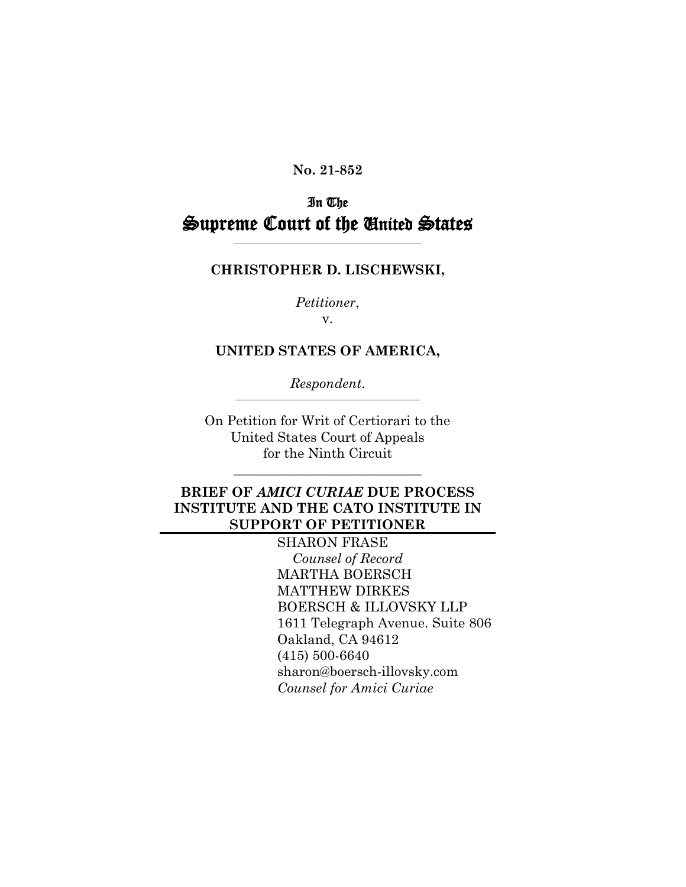### **No. 21-852**

# In The Supreme Court of the United States

### **CHRISTOPHER D. LISCHEWSKI,**

**\_\_\_\_\_\_\_\_\_\_\_\_\_\_\_\_\_\_\_\_\_\_\_\_\_\_\_\_\_\_\_\_\_\_\_\_\_\_\_\_\_\_**

*Petitioner*,

v.

### **UNITED STATES OF AMERICA,**

*Respondent*. **\_\_\_\_\_\_\_\_\_\_\_\_\_\_\_\_\_\_\_\_\_\_\_\_\_\_\_\_\_\_\_\_\_\_\_\_\_\_\_\_\_**

On Petition for Writ of Certiorari to the United States Court of Appeals for the Ninth Circuit

**\_\_\_\_\_\_\_\_\_\_\_\_\_\_\_\_\_\_\_\_\_\_\_\_\_\_\_\_**

## **BRIEF OF** *AMICI CURIAE* **DUE PROCESS INSTITUTE AND THE CATO INSTITUTE IN SUPPORT OF PETITIONER**

SHARON FRASE  *Counsel of Record* MARTHA BOERSCH MATTHEW DIRKES BOERSCH & ILLOVSKY LLP 1611 Telegraph Avenue. Suite 806 Oakland, CA 94612 (415) 500-6640 sharon@boersch-illovsky.com *Counsel for Amici Curiae*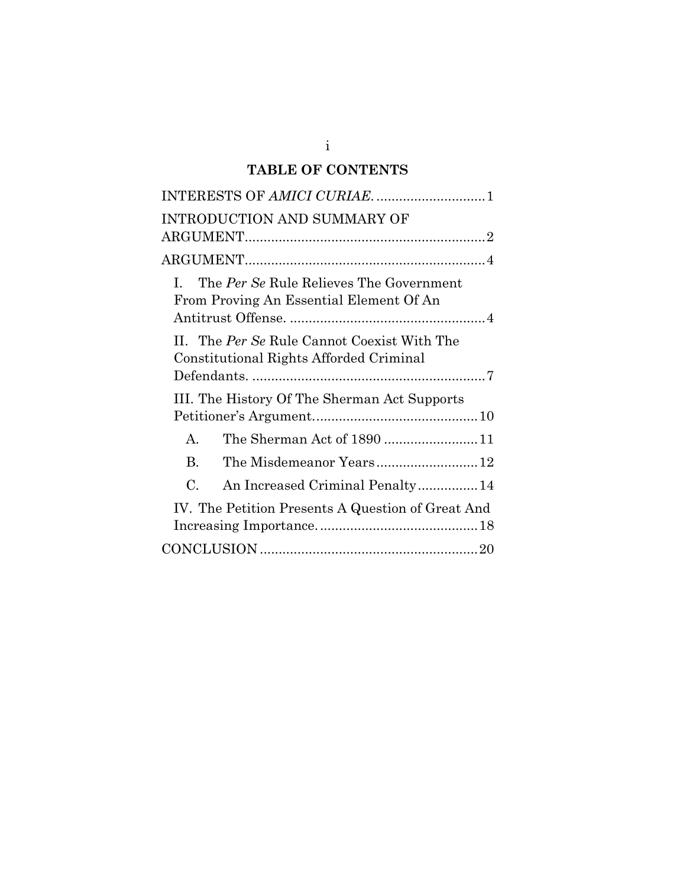# **TABLE OF CONTENTS**

i

| INTERESTS OF AMICI CURIAE1                                                                         |
|----------------------------------------------------------------------------------------------------|
| INTRODUCTION AND SUMMARY OF                                                                        |
|                                                                                                    |
| The Per Se Rule Relieves The Government<br>$\mathbf{I}$<br>From Proving An Essential Element Of An |
| II. The Per Se Rule Cannot Coexist With The<br>Constitutional Rights Afforded Criminal             |
| III. The History Of The Sherman Act Supports                                                       |
| The Sherman Act of 1890 11<br>A.                                                                   |
| B.                                                                                                 |
| C.<br>An Increased Criminal Penalty 14                                                             |
| IV. The Petition Presents A Question of Great And                                                  |
|                                                                                                    |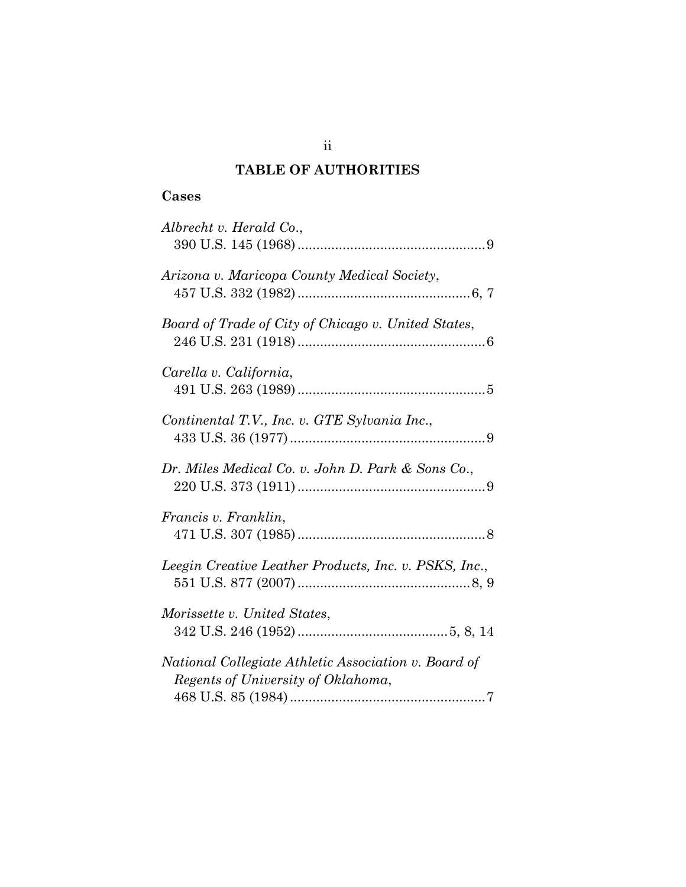# **TABLE OF AUTHORITIES**

# **Cases**

| Albrecht v. Herald Co.,                                                                    |
|--------------------------------------------------------------------------------------------|
| Arizona v. Maricopa County Medical Society,                                                |
| Board of Trade of City of Chicago v. United States,                                        |
| Carella v. California,                                                                     |
| Continental T.V., Inc. v. GTE Sylvania Inc.,                                               |
| Dr. Miles Medical Co. v. John D. Park & Sons Co.,                                          |
| Francis v. Franklin,                                                                       |
| Leegin Creative Leather Products, Inc. v. PSKS, Inc.,                                      |
| Morissette v. United States,                                                               |
| National Collegiate Athletic Association v. Board of<br>Regents of University of Oklahoma, |
|                                                                                            |

# ii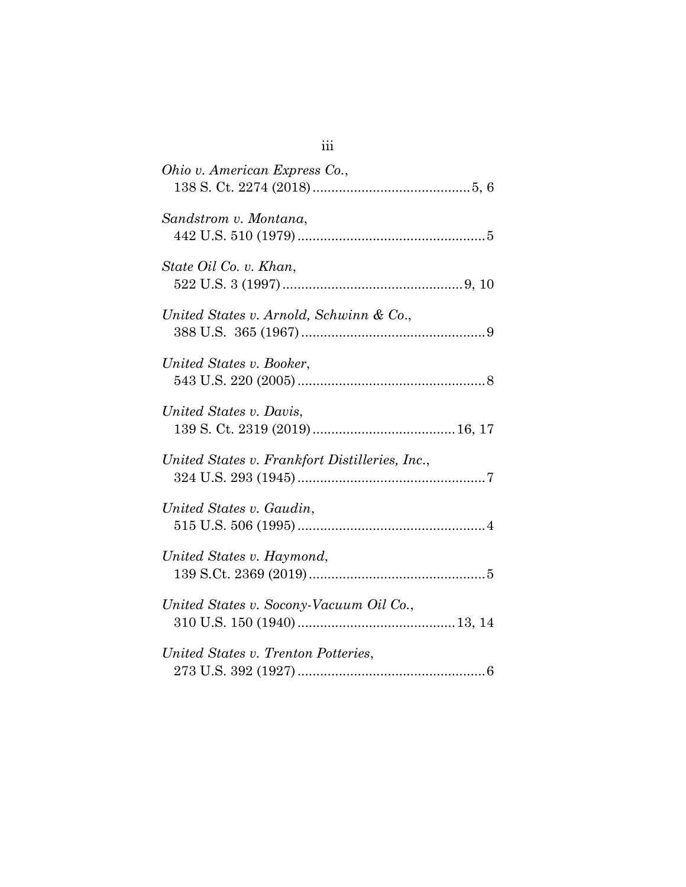| Ohio v. American Express Co.,                  |
|------------------------------------------------|
| Sandstrom v. Montana,                          |
| State Oil Co. v. Khan,                         |
| United States v. Arnold, Schwinn & Co.,        |
| United States v. Booker,                       |
| United States v. Davis,                        |
| United States v. Frankfort Distilleries, Inc., |
| United States v. Gaudin,                       |
| United States v. Haymond,                      |
| United States v. Socony-Vacuum Oil Co.,        |
| United States v. Trenton Potteries,            |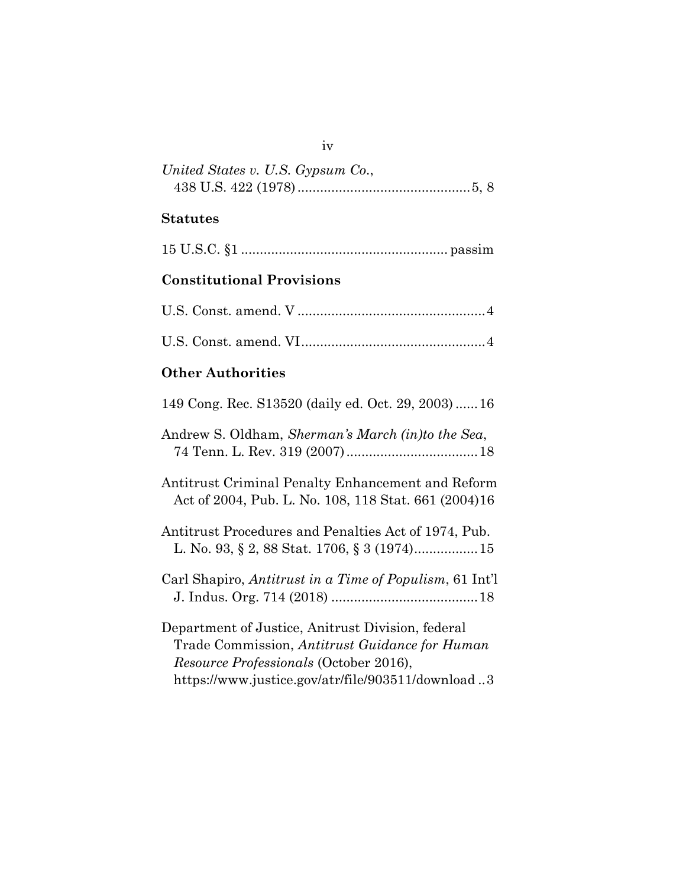| United States v. U.S. Gypsum Co., |  |
|-----------------------------------|--|
|                                   |  |

iv

# **Statutes**

# **Constitutional Provisions**

# **Other Authorities**

| 149 Cong. Rec. S13520 (daily ed. Oct. 29, 2003)  16                                                                                                                                                        |
|------------------------------------------------------------------------------------------------------------------------------------------------------------------------------------------------------------|
| Andrew S. Oldham, Sherman's March (in) to the Sea,                                                                                                                                                         |
| Antitrust Criminal Penalty Enhancement and Reform<br>Act of 2004, Pub. L. No. 108, 118 Stat. 661 (2004)16                                                                                                  |
| Antitrust Procedures and Penalties Act of 1974, Pub.                                                                                                                                                       |
| Carl Shapiro, Antitrust in a Time of Populism, 61 Int'l                                                                                                                                                    |
| Department of Justice, Anitrust Division, federal<br>Trade Commission, Antitrust Guidance for Human<br><i>Resource Professionals</i> (October 2016),<br>https://www.justice.gov/atr/file/903511/download.3 |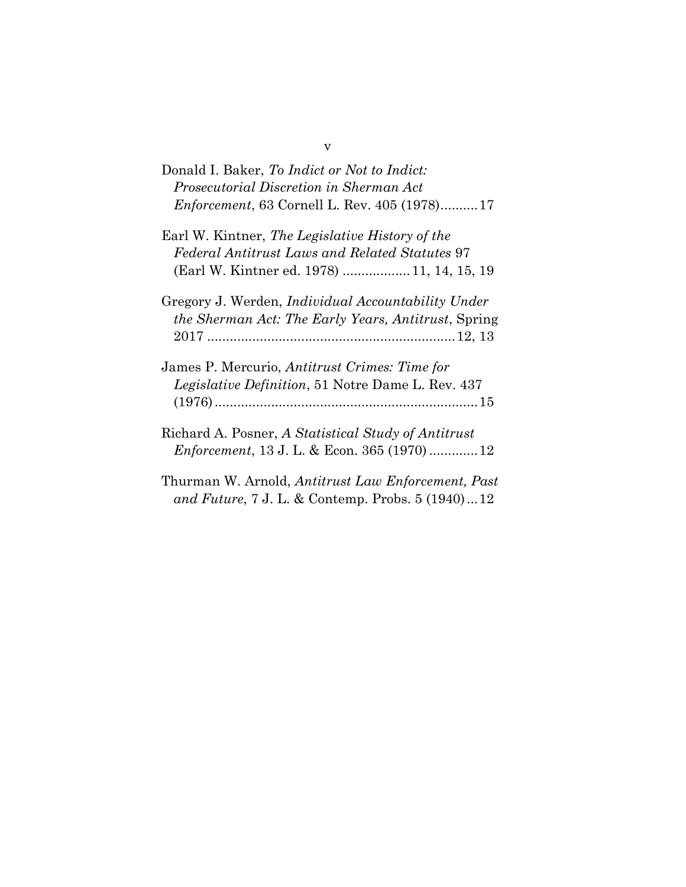| Donald I. Baker, To Indict or Not to Indict:<br>Prosecutorial Discretion in Sherman Act |
|-----------------------------------------------------------------------------------------|
| <i>Enforcement</i> , 63 Cornell L. Rev. 405 (1978)17                                    |
| Earl W. Kintner, The Legislative History of the                                         |
| Federal Antitrust Laws and Related Statutes 97                                          |
| (Earl W. Kintner ed. 1978)  11, 14, 15, 19                                              |
| Gregory J. Werden, <i>Individual Accountability Under</i>                               |
| <i>the Sherman Act: The Early Years, Antitrust, Spring</i>                              |
|                                                                                         |
| James P. Mercurio, Antitrust Crimes: Time for                                           |
| <i>Legislative Definition</i> , 51 Notre Dame L. Rev. 437                               |
|                                                                                         |
| Richard A. Posner, A Statistical Study of Antitrust                                     |
| <i>Enforcement</i> , 13 J. L. & Econ. 365 (1970)12                                      |
| Thurman W. Arnold, <i>Antitrust Law Enforcement</i> , <i>Past</i>                       |
| and Future, 7 J. L. & Contemp. Probs. $5(1940)12$                                       |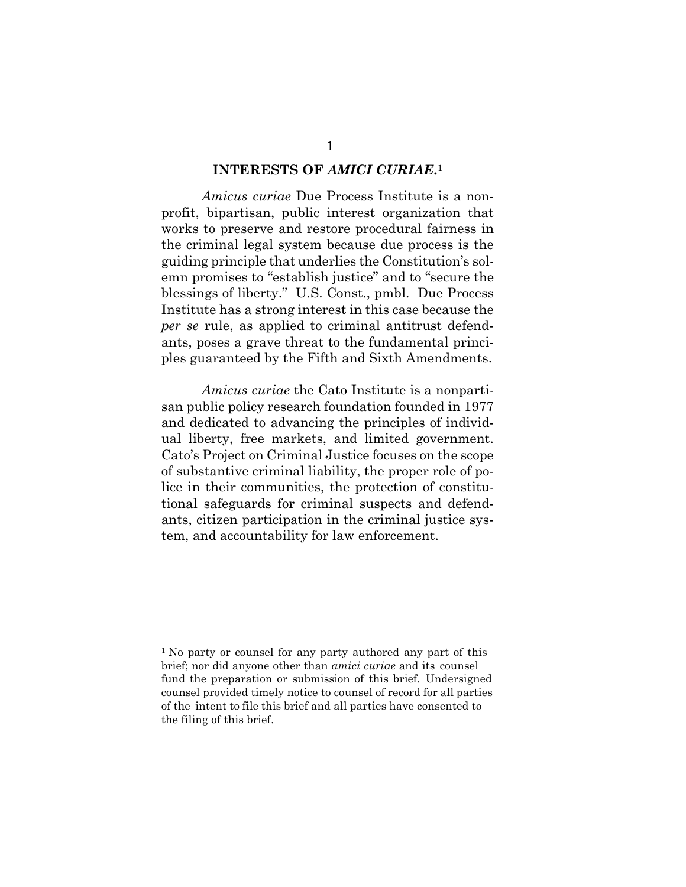#### **INTERESTS OF** *AMICI CURIAE***.** 1

<span id="page-6-0"></span>*Amicus curiae* Due Process Institute is a nonprofit, bipartisan, public interest organization that works to preserve and restore procedural fairness in the criminal legal system because due process is the guiding principle that underlies the Constitution's solemn promises to "establish justice" and to "secure the blessings of liberty." U.S. Const., pmbl. Due Process Institute has a strong interest in this case because the *per se* rule, as applied to criminal antitrust defendants, poses a grave threat to the fundamental principles guaranteed by the Fifth and Sixth Amendments.

*Amicus curiae* the Cato Institute is a nonpartisan public policy research foundation founded in 1977 and dedicated to advancing the principles of individual liberty, free markets, and limited government. Cato's Project on Criminal Justice focuses on the scope of substantive criminal liability, the proper role of police in their communities, the protection of constitutional safeguards for criminal suspects and defendants, citizen participation in the criminal justice system, and accountability for law enforcement.

<sup>&</sup>lt;sup>1</sup> No party or counsel for any party authored any part of this brief; nor did anyone other than *amici curiae* and its counsel fund the preparation or submission of this brief. Undersigned counsel provided timely notice to counsel of record for all parties of the intent to file this brief and all parties have consented to the filing of this brief.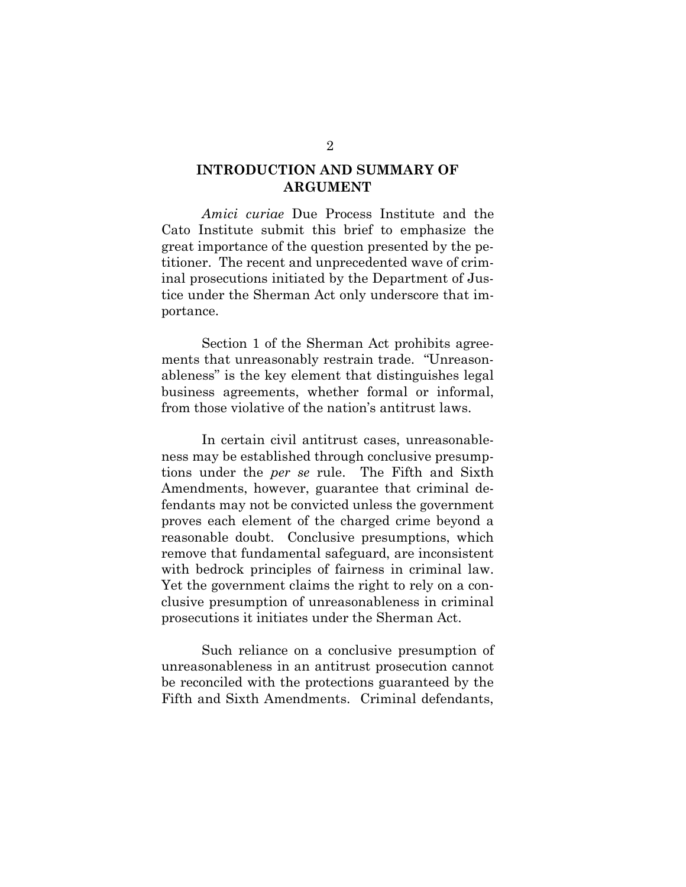# <span id="page-7-0"></span>**INTRODUCTION AND SUMMARY OF ARGUMENT**

*Amici curiae* Due Process Institute and the Cato Institute submit this brief to emphasize the great importance of the question presented by the petitioner. The recent and unprecedented wave of criminal prosecutions initiated by the Department of Justice under the Sherman Act only underscore that importance.

Section 1 of the Sherman Act prohibits agreements that unreasonably restrain trade. "Unreasonableness" is the key element that distinguishes legal business agreements, whether formal or informal, from those violative of the nation's antitrust laws.

In certain civil antitrust cases, unreasonableness may be established through conclusive presumptions under the *per se* rule. The Fifth and Sixth Amendments, however, guarantee that criminal defendants may not be convicted unless the government proves each element of the charged crime beyond a reasonable doubt. Conclusive presumptions, which remove that fundamental safeguard, are inconsistent with bedrock principles of fairness in criminal law. Yet the government claims the right to rely on a conclusive presumption of unreasonableness in criminal prosecutions it initiates under the Sherman Act.

Such reliance on a conclusive presumption of unreasonableness in an antitrust prosecution cannot be reconciled with the protections guaranteed by the Fifth and Sixth Amendments. Criminal defendants,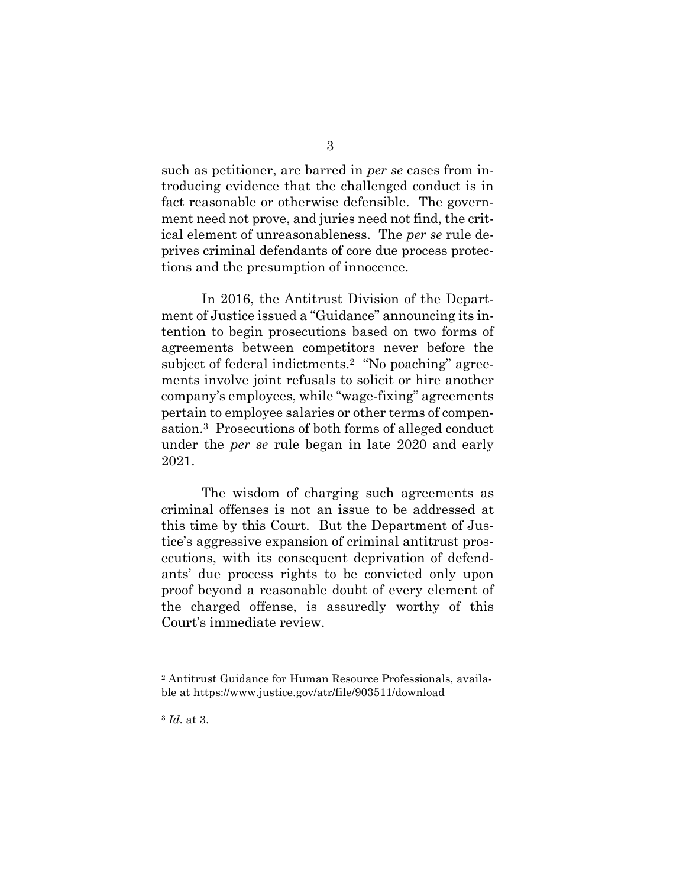such as petitioner, are barred in *per se* cases from introducing evidence that the challenged conduct is in fact reasonable or otherwise defensible. The government need not prove, and juries need not find, the critical element of unreasonableness. The *per se* rule deprives criminal defendants of core due process protections and the presumption of innocence.

In 2016, the Antitrust Division of the Department of Justice issued a "Guidance" announcing its intention to begin prosecutions based on two forms of agreements between competitors never before the subject of federal indictments.<sup>2</sup> "No poaching" agreements involve joint refusals to solicit or hire another company's employees, while "wage-fixing" agreements pertain to employee salaries or other terms of compensation.3 Prosecutions of both forms of alleged conduct under the *per se* rule began in late 2020 and early 2021.

The wisdom of charging such agreements as criminal offenses is not an issue to be addressed at this time by this Court. But the Department of Justice's aggressive expansion of criminal antitrust prosecutions, with its consequent deprivation of defendants' due process rights to be convicted only upon proof beyond a reasonable doubt of every element of the charged offense, is assuredly worthy of this Court's immediate review.

<sup>2</sup> Antitrust Guidance for Human Resource Professionals, available at https://www.justice.gov/atr/file/903511/download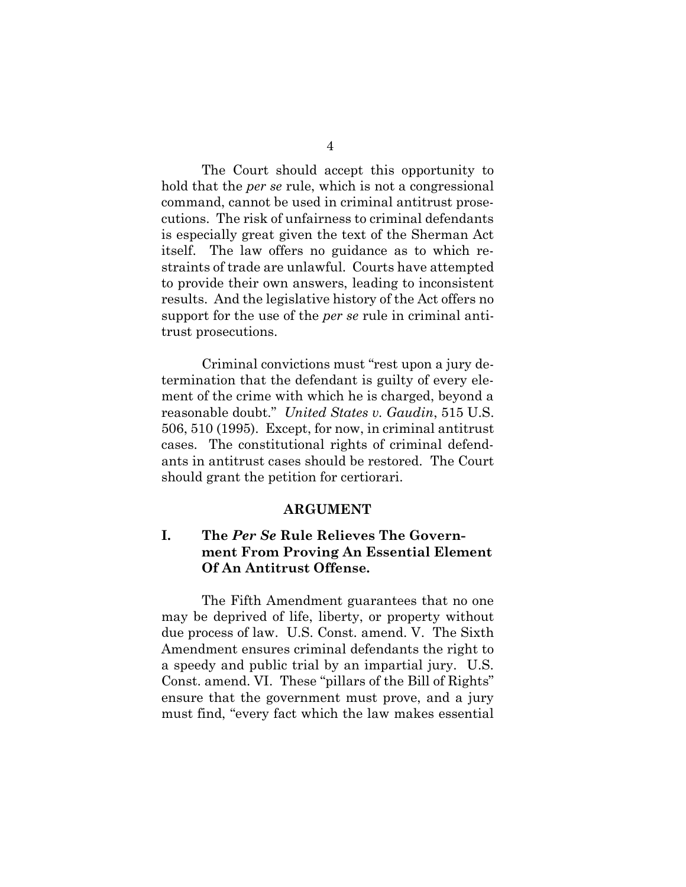The Court should accept this opportunity to hold that the *per se* rule, which is not a congressional command, cannot be used in criminal antitrust prosecutions. The risk of unfairness to criminal defendants is especially great given the text of the Sherman Act itself. The law offers no guidance as to which restraints of trade are unlawful. Courts have attempted to provide their own answers, leading to inconsistent results. And the legislative history of the Act offers no support for the use of the *per se* rule in criminal antitrust prosecutions.

Criminal convictions must "rest upon a jury determination that the defendant is guilty of every element of the crime with which he is charged, beyond a reasonable doubt." *United States v. Gaudin*, 515 U.S. 506, 510 (1995). Except, for now, in criminal antitrust cases. The constitutional rights of criminal defendants in antitrust cases should be restored. The Court should grant the petition for certiorari.

#### **ARGUMENT**

## <span id="page-9-1"></span><span id="page-9-0"></span>**I. The** *Per Se* **Rule Relieves The Government From Proving An Essential Element Of An Antitrust Offense.**

The Fifth Amendment guarantees that no one may be deprived of life, liberty, or property without due process of law. U.S. Const. amend. V. The Sixth Amendment ensures criminal defendants the right to a speedy and public trial by an impartial jury. U.S. Const. amend. VI. These "pillars of the Bill of Rights" ensure that the government must prove, and a jury must find, "every fact which the law makes essential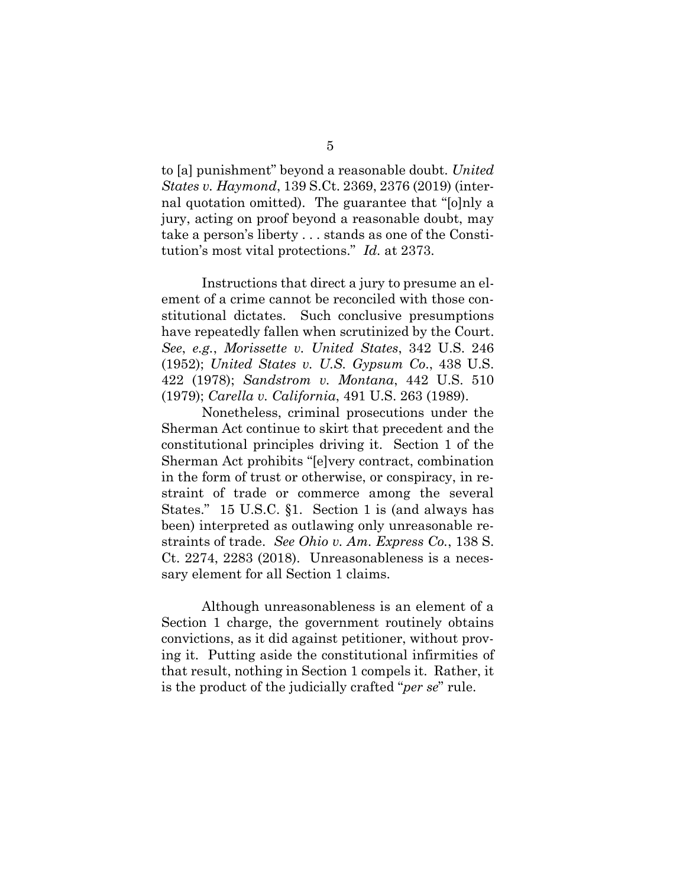to [a] punishment" beyond a reasonable doubt. *United States v. Haymond*, 139 S.Ct. 2369, 2376 (2019) (internal quotation omitted). The guarantee that "[o]nly a jury, acting on proof beyond a reasonable doubt, may take a person's liberty . . . stands as one of the Constitution's most vital protections." *Id.* at 2373.

Instructions that direct a jury to presume an element of a crime cannot be reconciled with those constitutional dictates. Such conclusive presumptions have repeatedly fallen when scrutinized by the Court. *See*, *e.g.*, *Morissette v. United States*, 342 U.S. 246 (1952); *United States v. U.S. Gypsum Co*., 438 U.S. 422 (1978); *Sandstrom v. Montana*, 442 U.S. 510 (1979); *Carella v. California*, 491 U.S. 263 (1989).

Nonetheless, criminal prosecutions under the Sherman Act continue to skirt that precedent and the constitutional principles driving it. Section 1 of the Sherman Act prohibits "[e]very contract, combination in the form of trust or otherwise, or conspiracy, in restraint of trade or commerce among the several States." 15 U.S.C. §1. Section 1 is (and always has been) interpreted as outlawing only unreasonable restraints of trade. *See Ohio v. Am. Express Co.*, 138 S. Ct. 2274, 2283 (2018). Unreasonableness is a necessary element for all Section 1 claims.

Although unreasonableness is an element of a Section 1 charge, the government routinely obtains convictions, as it did against petitioner, without proving it. Putting aside the constitutional infirmities of that result, nothing in Section 1 compels it. Rather, it is the product of the judicially crafted "*per se*" rule.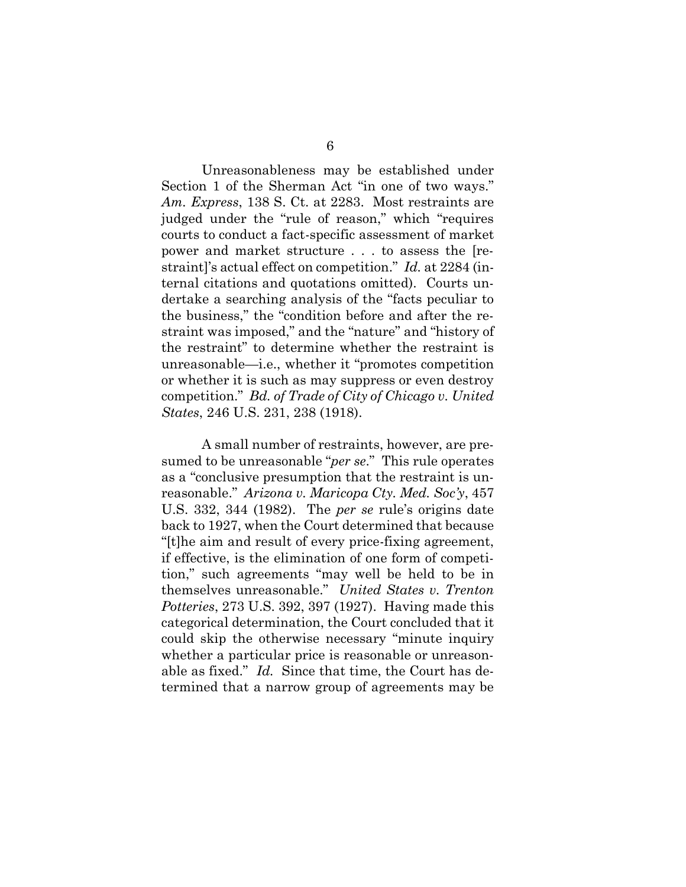Unreasonableness may be established under Section 1 of the Sherman Act "in one of two ways." *Am. Express*, 138 S. Ct. at 2283. Most restraints are judged under the "rule of reason," which "requires courts to conduct a fact-specific assessment of market power and market structure . . . to assess the [restraint]'s actual effect on competition." *Id.* at 2284 (internal citations and quotations omitted). Courts undertake a searching analysis of the "facts peculiar to the business," the "condition before and after the restraint was imposed," and the "nature" and "history of the restraint" to determine whether the restraint is unreasonable—i.e., whether it "promotes competition or whether it is such as may suppress or even destroy competition." *Bd. of Trade of City of Chicago v. United States*, 246 U.S. 231, 238 (1918).

A small number of restraints, however, are presumed to be unreasonable "*per se*." This rule operates as a "conclusive presumption that the restraint is unreasonable." *Arizona v. Maricopa Cty. Med. Soc'y*, 457 U.S. 332, 344 (1982). The *per se* rule's origins date back to 1927, when the Court determined that because "[t]he aim and result of every price-fixing agreement, if effective, is the elimination of one form of competition," such agreements "may well be held to be in themselves unreasonable." *United States v. Trenton Potteries*, 273 U.S. 392, 397 (1927). Having made this categorical determination, the Court concluded that it could skip the otherwise necessary "minute inquiry whether a particular price is reasonable or unreasonable as fixed." *Id.* Since that time, the Court has determined that a narrow group of agreements may be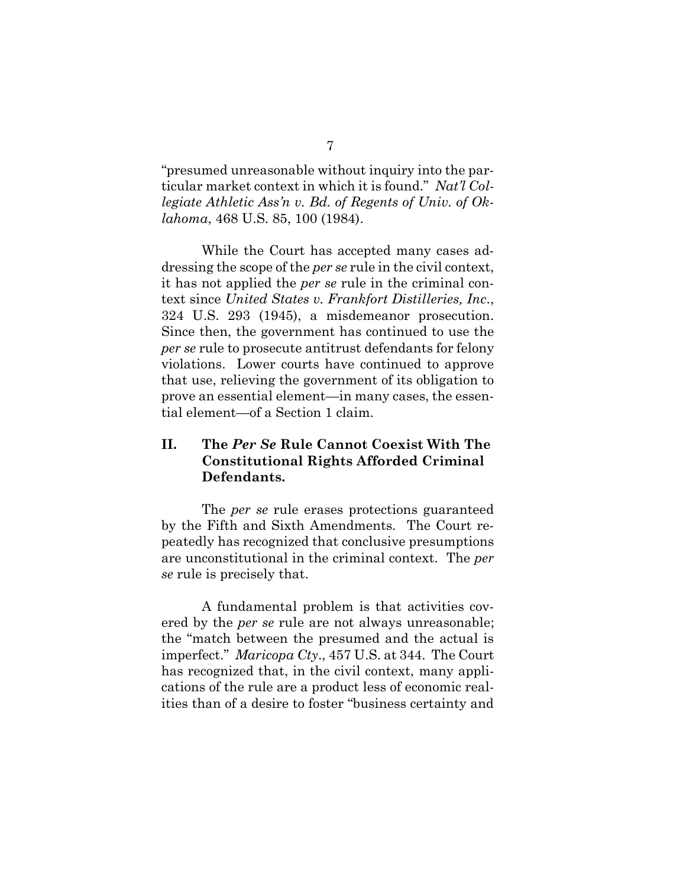"presumed unreasonable without inquiry into the particular market context in which it is found." *Nat'l Collegiate Athletic Ass'n v. Bd. of Regents of Univ. of Oklahoma*, 468 U.S. 85, 100 (1984).

While the Court has accepted many cases addressing the scope of the *per se* rule in the civil context, it has not applied the *per se* rule in the criminal context since *United States v. Frankfort Distilleries, Inc*., 324 U.S. 293 (1945), a misdemeanor prosecution. Since then, the government has continued to use the *per se* rule to prosecute antitrust defendants for felony violations. Lower courts have continued to approve that use, relieving the government of its obligation to prove an essential element—in many cases, the essential element—of a Section 1 claim.

## <span id="page-12-0"></span>**II. The** *Per Se* **Rule Cannot Coexist With The Constitutional Rights Afforded Criminal Defendants.**

The *per se* rule erases protections guaranteed by the Fifth and Sixth Amendments. The Court repeatedly has recognized that conclusive presumptions are unconstitutional in the criminal context. The *per se* rule is precisely that.

A fundamental problem is that activities covered by the *per se* rule are not always unreasonable; the "match between the presumed and the actual is imperfect." *Maricopa Cty*., 457 U.S. at 344. The Court has recognized that, in the civil context, many applications of the rule are a product less of economic realities than of a desire to foster "business certainty and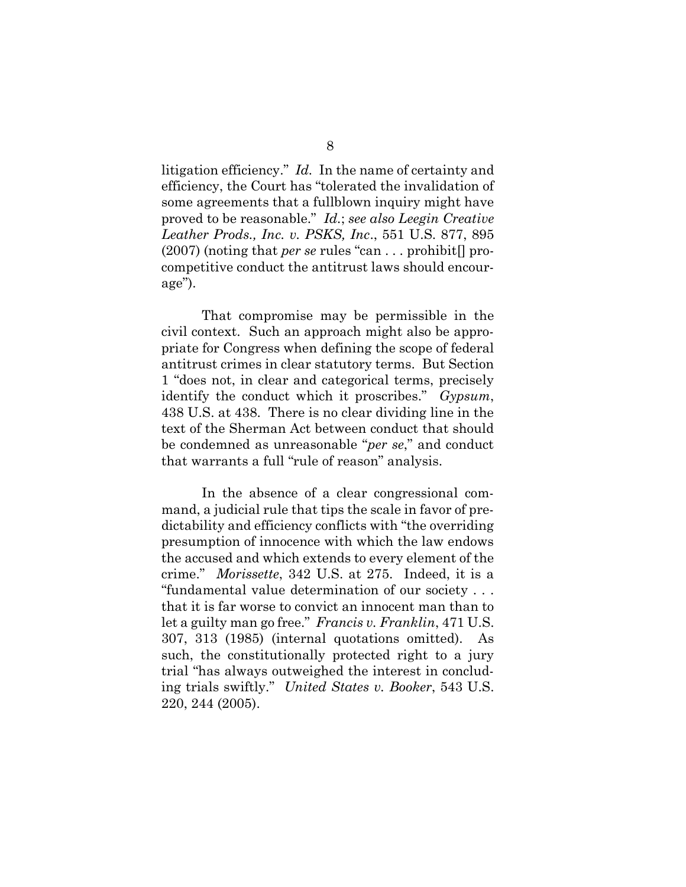litigation efficiency." *Id.* In the name of certainty and efficiency, the Court has "tolerated the invalidation of some agreements that a fullblown inquiry might have proved to be reasonable." *Id.*; *see also Leegin Creative Leather Prods., Inc. v. PSKS, Inc*., 551 U.S. 877, 895 (2007) (noting that *per se* rules "can . . . prohibit[] procompetitive conduct the antitrust laws should encourage").

That compromise may be permissible in the civil context. Such an approach might also be appropriate for Congress when defining the scope of federal antitrust crimes in clear statutory terms. But Section 1 "does not, in clear and categorical terms, precisely identify the conduct which it proscribes." *Gypsum*, 438 U.S. at 438. There is no clear dividing line in the text of the Sherman Act between conduct that should be condemned as unreasonable "*per se*," and conduct that warrants a full "rule of reason" analysis.

In the absence of a clear congressional command, a judicial rule that tips the scale in favor of predictability and efficiency conflicts with "the overriding presumption of innocence with which the law endows the accused and which extends to every element of the crime." *Morissette*, 342 U.S. at 275. Indeed, it is a "fundamental value determination of our society . . . that it is far worse to convict an innocent man than to let a guilty man go free." *Francis v. Franklin*, 471 U.S. 307, 313 (1985) (internal quotations omitted). As such, the constitutionally protected right to a jury trial "has always outweighed the interest in concluding trials swiftly." *United States v. Booker*, 543 U.S. 220, 244 (2005).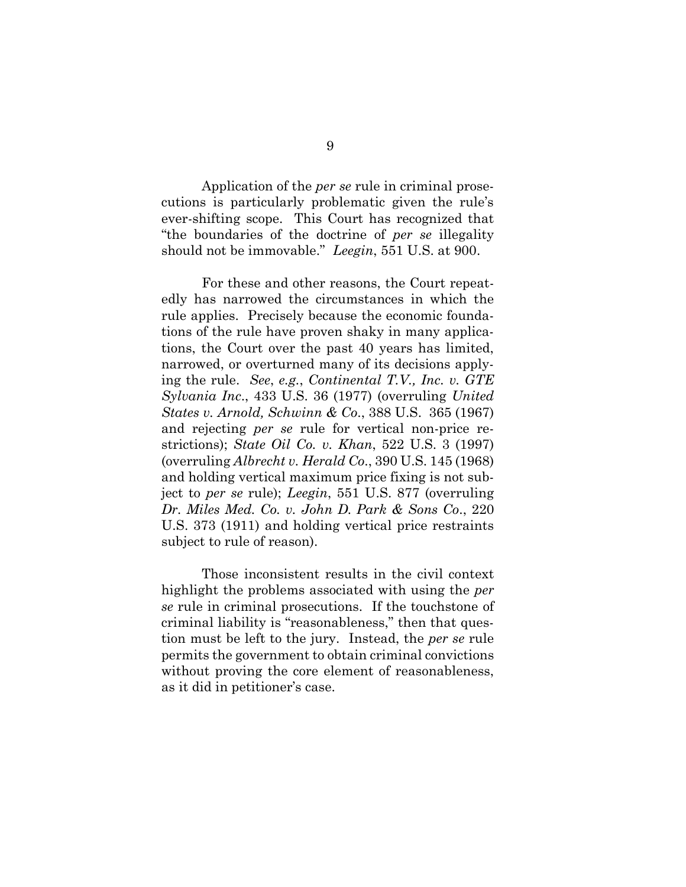Application of the *per se* rule in criminal prosecutions is particularly problematic given the rule's ever-shifting scope. This Court has recognized that "the boundaries of the doctrine of *per se* illegality should not be immovable." *Leegin*, 551 U.S. at 900.

For these and other reasons, the Court repeatedly has narrowed the circumstances in which the rule applies. Precisely because the economic foundations of the rule have proven shaky in many applications, the Court over the past 40 years has limited, narrowed, or overturned many of its decisions applying the rule. *See*, *e.g.*, *Continental T.V., Inc. v. GTE Sylvania Inc*., 433 U.S. 36 (1977) (overruling *United States v. Arnold, Schwinn & Co*., 388 U.S. 365 (1967) and rejecting *per se* rule for vertical non-price restrictions); *State Oil Co. v. Khan*, 522 U.S. 3 (1997) (overruling *Albrecht v. Herald Co*., 390 U.S. 145 (1968) and holding vertical maximum price fixing is not subject to *per se* rule); *Leegin*, 551 U.S. 877 (overruling *Dr. Miles Med. Co. v. John D. Park & Sons Co*., 220 U.S. 373 (1911) and holding vertical price restraints subject to rule of reason).

Those inconsistent results in the civil context highlight the problems associated with using the *per se* rule in criminal prosecutions. If the touchstone of criminal liability is "reasonableness," then that question must be left to the jury. Instead, the *per se* rule permits the government to obtain criminal convictions without proving the core element of reasonableness, as it did in petitioner's case.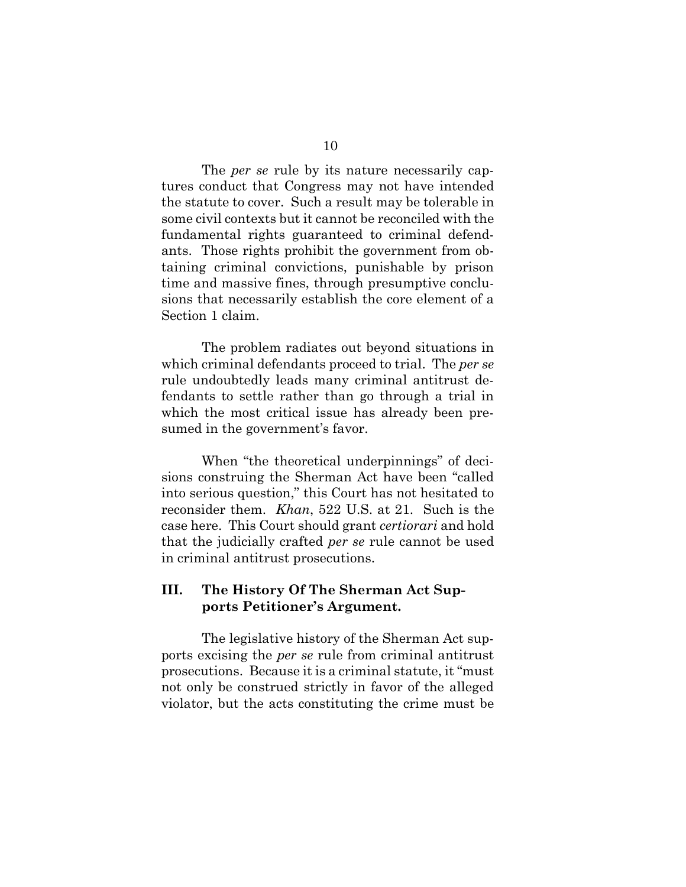The *per se* rule by its nature necessarily captures conduct that Congress may not have intended the statute to cover. Such a result may be tolerable in some civil contexts but it cannot be reconciled with the fundamental rights guaranteed to criminal defendants. Those rights prohibit the government from obtaining criminal convictions, punishable by prison time and massive fines, through presumptive conclusions that necessarily establish the core element of a Section 1 claim.

The problem radiates out beyond situations in which criminal defendants proceed to trial. The *per se* rule undoubtedly leads many criminal antitrust defendants to settle rather than go through a trial in which the most critical issue has already been presumed in the government's favor.

When "the theoretical underpinnings" of decisions construing the Sherman Act have been "called into serious question," this Court has not hesitated to reconsider them. *Khan*, 522 U.S. at 21. Such is the case here. This Court should grant *certiorari* and hold that the judicially crafted *per se* rule cannot be used in criminal antitrust prosecutions.

## <span id="page-15-0"></span>**III. The History Of The Sherman Act Supports Petitioner's Argument.**

The legislative history of the Sherman Act supports excising the *per se* rule from criminal antitrust prosecutions. Because it is a criminal statute, it "must not only be construed strictly in favor of the alleged violator, but the acts constituting the crime must be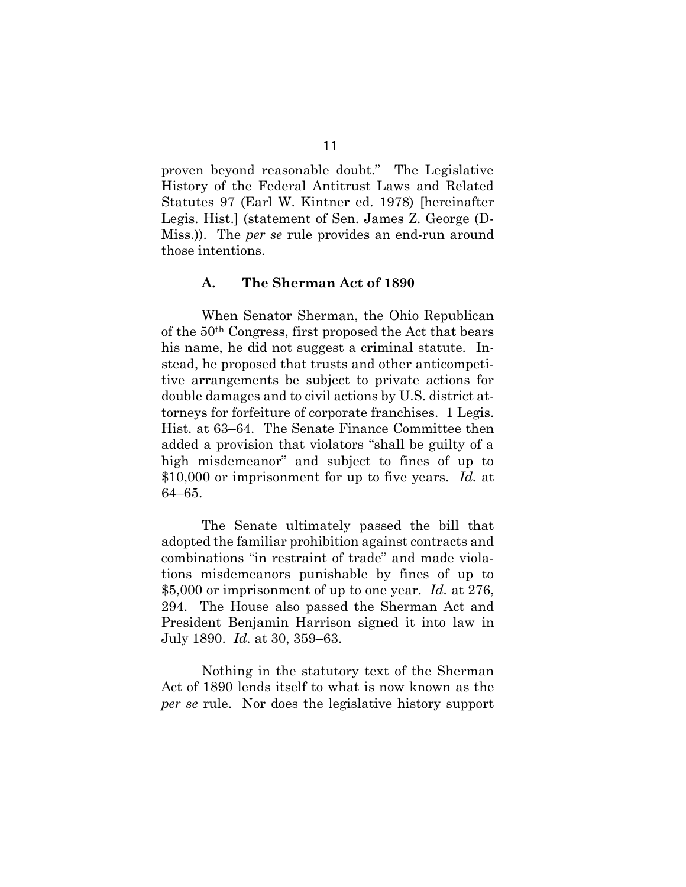proven beyond reasonable doubt." The Legislative History of the Federal Antitrust Laws and Related Statutes 97 (Earl W. Kintner ed. 1978) [hereinafter Legis. Hist.] (statement of Sen. James Z. George (D-Miss.)). The *per se* rule provides an end-run around those intentions.

#### **A. The Sherman Act of 1890**

<span id="page-16-0"></span>When Senator Sherman, the Ohio Republican of the 50th Congress, first proposed the Act that bears his name, he did not suggest a criminal statute. Instead, he proposed that trusts and other anticompetitive arrangements be subject to private actions for double damages and to civil actions by U.S. district attorneys for forfeiture of corporate franchises. 1 Legis. Hist. at 63–64. The Senate Finance Committee then added a provision that violators "shall be guilty of a high misdemeanor" and subject to fines of up to \$10,000 or imprisonment for up to five years. *Id.* at 64–65.

The Senate ultimately passed the bill that adopted the familiar prohibition against contracts and combinations "in restraint of trade" and made violations misdemeanors punishable by fines of up to \$5,000 or imprisonment of up to one year. *Id.* at 276, 294. The House also passed the Sherman Act and President Benjamin Harrison signed it into law in July 1890. *Id.* at 30, 359–63.

Nothing in the statutory text of the Sherman Act of 1890 lends itself to what is now known as the *per se* rule. Nor does the legislative history support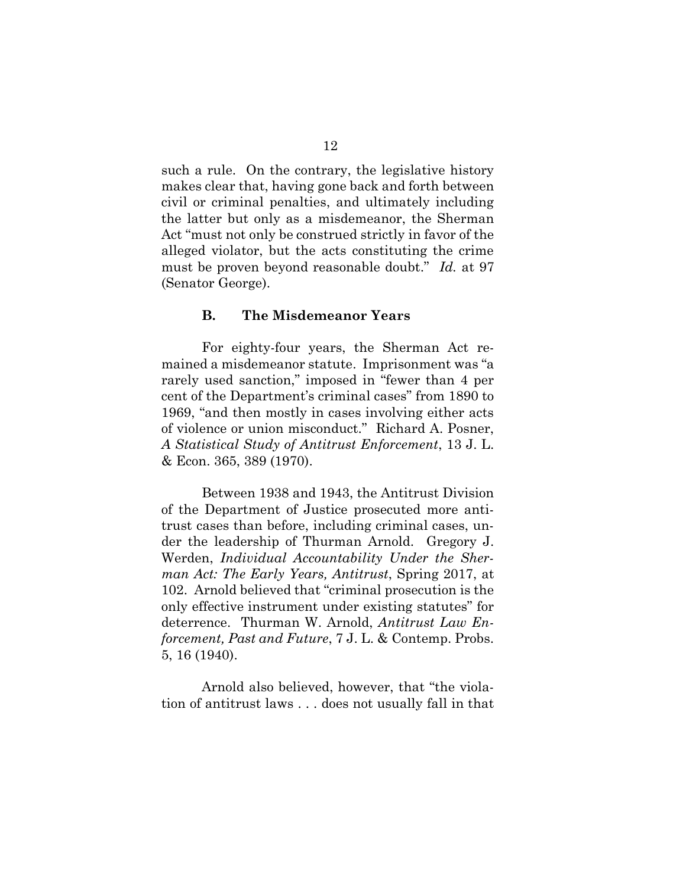such a rule. On the contrary, the legislative history makes clear that, having gone back and forth between civil or criminal penalties, and ultimately including the latter but only as a misdemeanor, the Sherman Act "must not only be construed strictly in favor of the alleged violator, but the acts constituting the crime must be proven beyond reasonable doubt." *Id.* at 97 (Senator George).

### **B. The Misdemeanor Years**

<span id="page-17-0"></span>For eighty-four years, the Sherman Act remained a misdemeanor statute. Imprisonment was "a rarely used sanction," imposed in "fewer than 4 per cent of the Department's criminal cases" from 1890 to 1969, "and then mostly in cases involving either acts of violence or union misconduct." Richard A. Posner, *A Statistical Study of Antitrust Enforcement*, 13 J. L. & Econ. 365, 389 (1970).

Between 1938 and 1943, the Antitrust Division of the Department of Justice prosecuted more antitrust cases than before, including criminal cases, under the leadership of Thurman Arnold. Gregory J. Werden, *Individual Accountability Under the Sherman Act: The Early Years, Antitrust*, Spring 2017, at 102. Arnold believed that "criminal prosecution is the only effective instrument under existing statutes" for deterrence. Thurman W. Arnold, *Antitrust Law Enforcement, Past and Future*, 7 J. L. & Contemp. Probs. 5, 16 (1940).

Arnold also believed, however, that "the violation of antitrust laws . . . does not usually fall in that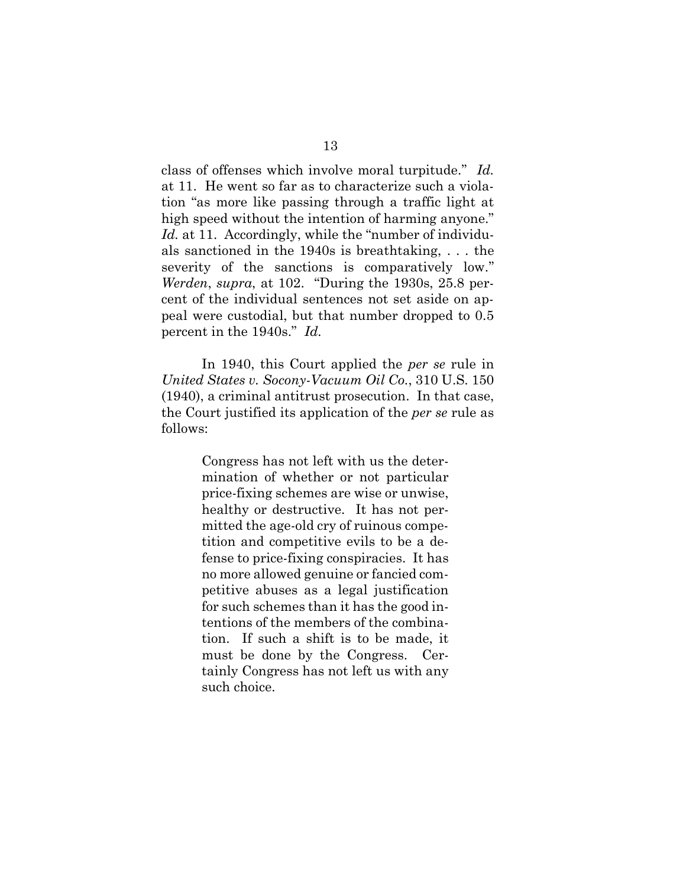class of offenses which involve moral turpitude." *Id.* at 11. He went so far as to characterize such a violation "as more like passing through a traffic light at high speed without the intention of harming anyone." Id. at 11. Accordingly, while the "number of individuals sanctioned in the 1940s is breathtaking, . . . the severity of the sanctions is comparatively low." *Werden*, *supra*, at 102. "During the 1930s, 25.8 percent of the individual sentences not set aside on appeal were custodial, but that number dropped to 0.5 percent in the 1940s." *Id.*

In 1940, this Court applied the *per se* rule in *United States v. Socony-Vacuum Oil Co.*, 310 U.S. 150 (1940), a criminal antitrust prosecution. In that case, the Court justified its application of the *per se* rule as follows:

> Congress has not left with us the determination of whether or not particular price-fixing schemes are wise or unwise, healthy or destructive. It has not permitted the age-old cry of ruinous competition and competitive evils to be a defense to price-fixing conspiracies. It has no more allowed genuine or fancied competitive abuses as a legal justification for such schemes than it has the good intentions of the members of the combination. If such a shift is to be made, it must be done by the Congress. Certainly Congress has not left us with any such choice.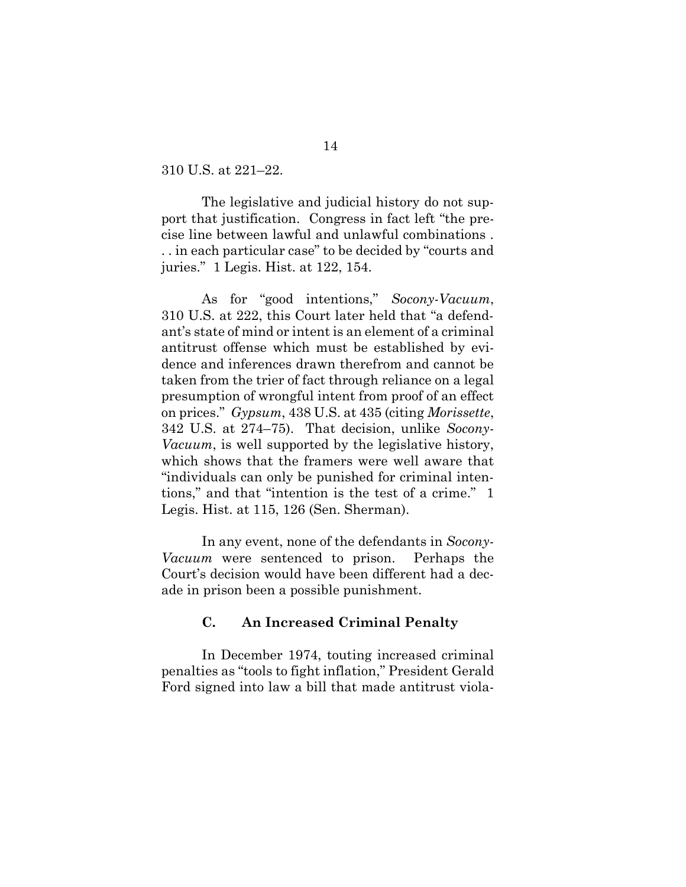310 U.S. at 221–22.

The legislative and judicial history do not support that justification. Congress in fact left "the precise line between lawful and unlawful combinations . . . in each particular case" to be decided by "courts and juries." 1 Legis. Hist. at 122, 154.

As for "good intentions," *Socony-Vacuum*, 310 U.S. at 222, this Court later held that "a defendant's state of mind or intent is an element of a criminal antitrust offense which must be established by evidence and inferences drawn therefrom and cannot be taken from the trier of fact through reliance on a legal presumption of wrongful intent from proof of an effect on prices." *Gypsum*, 438 U.S. at 435 (citing *Morissette*, 342 U.S. at 274–75). That decision, unlike *Socony-Vacuum*, is well supported by the legislative history, which shows that the framers were well aware that "individuals can only be punished for criminal intentions," and that "intention is the test of a crime." 1 Legis. Hist. at 115, 126 (Sen. Sherman).

In any event, none of the defendants in *Socony-Vacuum* were sentenced to prison. Perhaps the Court's decision would have been different had a decade in prison been a possible punishment.

## **C. An Increased Criminal Penalty**

<span id="page-19-0"></span>In December 1974, touting increased criminal penalties as "tools to fight inflation," President Gerald Ford signed into law a bill that made antitrust viola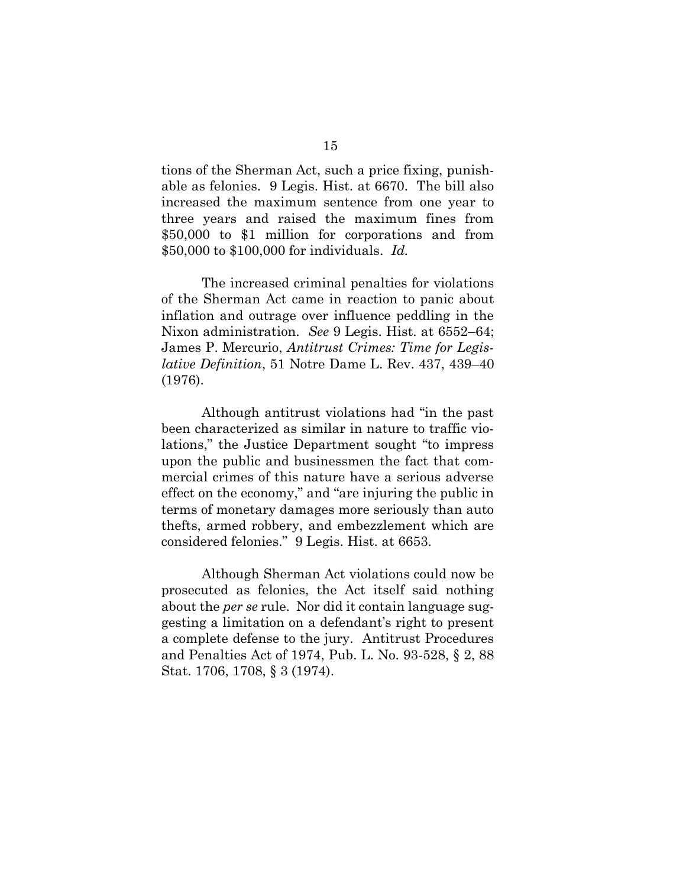tions of the Sherman Act, such a price fixing, punishable as felonies. 9 Legis. Hist. at 6670. The bill also increased the maximum sentence from one year to three years and raised the maximum fines from \$50,000 to \$1 million for corporations and from \$50,000 to \$100,000 for individuals. *Id.*

The increased criminal penalties for violations of the Sherman Act came in reaction to panic about inflation and outrage over influence peddling in the Nixon administration. *See* 9 Legis. Hist. at 6552–64; James P. Mercurio, *Antitrust Crimes: Time for Legislative Definition*, 51 Notre Dame L. Rev. 437, 439–40 (1976).

Although antitrust violations had "in the past been characterized as similar in nature to traffic violations," the Justice Department sought "to impress upon the public and businessmen the fact that commercial crimes of this nature have a serious adverse effect on the economy," and "are injuring the public in terms of monetary damages more seriously than auto thefts, armed robbery, and embezzlement which are considered felonies." 9 Legis. Hist. at 6653.

Although Sherman Act violations could now be prosecuted as felonies, the Act itself said nothing about the *per se* rule. Nor did it contain language suggesting a limitation on a defendant's right to present a complete defense to the jury. Antitrust Procedures and Penalties Act of 1974, Pub. L. No. 93-528, § 2, 88 Stat. 1706, 1708, § 3 (1974).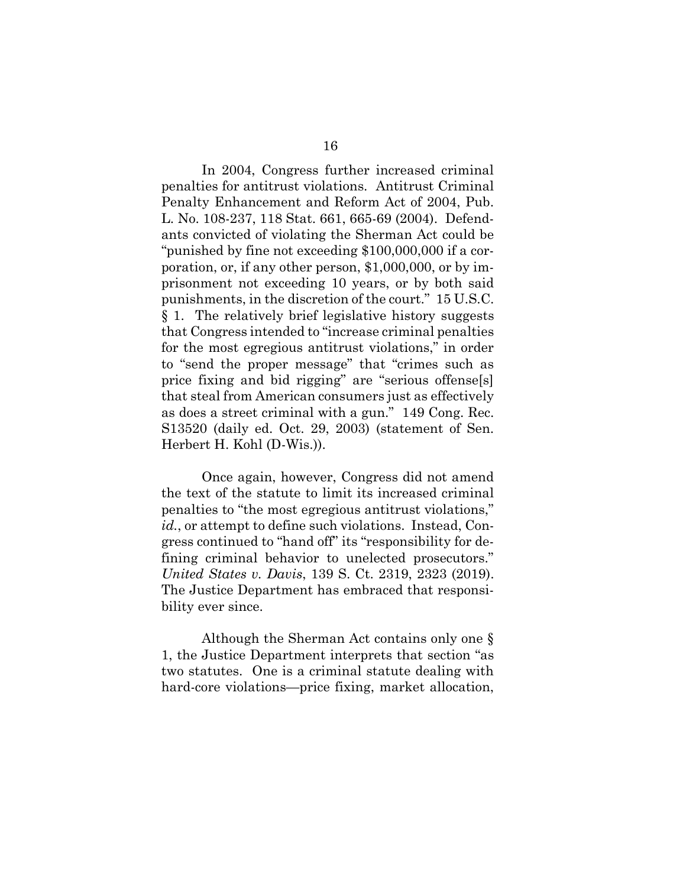In 2004, Congress further increased criminal penalties for antitrust violations. Antitrust Criminal Penalty Enhancement and Reform Act of 2004, Pub. L. No. 108-237, 118 Stat. 661, 665-69 (2004). Defendants convicted of violating the Sherman Act could be "punished by fine not exceeding \$100,000,000 if a corporation, or, if any other person, \$1,000,000, or by imprisonment not exceeding 10 years, or by both said punishments, in the discretion of the court." 15 U.S.C. § 1. The relatively brief legislative history suggests that Congress intended to "increase criminal penalties for the most egregious antitrust violations," in order to "send the proper message" that "crimes such as price fixing and bid rigging" are "serious offense[s] that steal from American consumers just as effectively as does a street criminal with a gun." 149 Cong. Rec. S13520 (daily ed. Oct. 29, 2003) (statement of Sen. Herbert H. Kohl (D-Wis.)).

Once again, however, Congress did not amend the text of the statute to limit its increased criminal penalties to "the most egregious antitrust violations," *id.*, or attempt to define such violations. Instead, Congress continued to "hand off" its "responsibility for defining criminal behavior to unelected prosecutors." *United States v. Davis*, 139 S. Ct. 2319, 2323 (2019). The Justice Department has embraced that responsibility ever since.

Although the Sherman Act contains only one § 1, the Justice Department interprets that section "as two statutes. One is a criminal statute dealing with hard-core violations—price fixing, market allocation,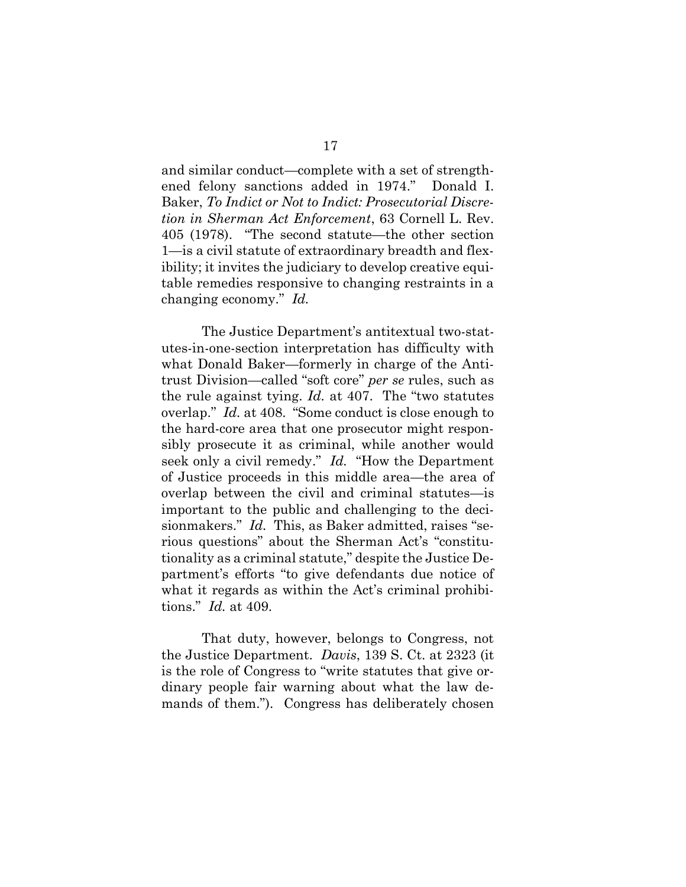and similar conduct—complete with a set of strengthened felony sanctions added in 1974." Donald I. Baker, *To Indict or Not to Indict: Prosecutorial Discretion in Sherman Act Enforcement*, 63 Cornell L. Rev. 405 (1978). "The second statute—the other section 1—is a civil statute of extraordinary breadth and flexibility; it invites the judiciary to develop creative equitable remedies responsive to changing restraints in a changing economy." *Id.*

The Justice Department's antitextual two-statutes-in-one-section interpretation has difficulty with what Donald Baker—formerly in charge of the Antitrust Division—called "soft core" *per se* rules, such as the rule against tying. *Id.* at 407. The "two statutes overlap." *Id.* at 408. "Some conduct is close enough to the hard-core area that one prosecutor might responsibly prosecute it as criminal, while another would seek only a civil remedy." *Id.* "How the Department of Justice proceeds in this middle area—the area of overlap between the civil and criminal statutes—is important to the public and challenging to the decisionmakers." *Id.* This, as Baker admitted, raises "serious questions" about the Sherman Act's "constitutionality as a criminal statute," despite the Justice Department's efforts "to give defendants due notice of what it regards as within the Act's criminal prohibitions." *Id.* at 409.

That duty, however, belongs to Congress, not the Justice Department. *Davis*, 139 S. Ct. at 2323 (it is the role of Congress to "write statutes that give ordinary people fair warning about what the law demands of them."). Congress has deliberately chosen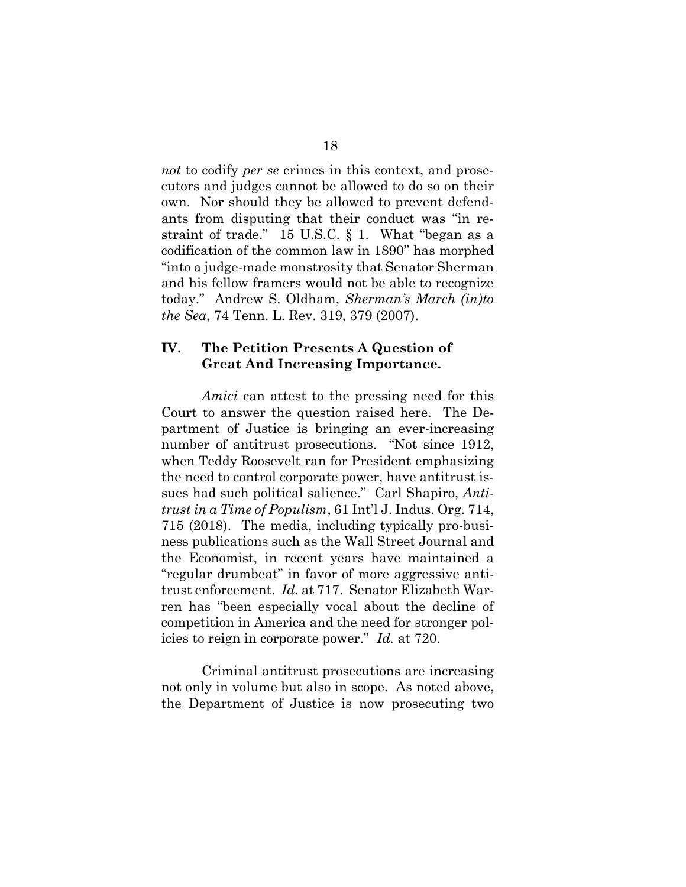*not* to codify *per se* crimes in this context, and prosecutors and judges cannot be allowed to do so on their own. Nor should they be allowed to prevent defendants from disputing that their conduct was "in restraint of trade." 15 U.S.C. § 1. What "began as a codification of the common law in 1890" has morphed "into a judge-made monstrosity that Senator Sherman and his fellow framers would not be able to recognize today." Andrew S. Oldham, *Sherman's March (in)to the Sea*, 74 Tenn. L. Rev. 319, 379 (2007).

## <span id="page-23-0"></span>**IV. The Petition Presents A Question of Great And Increasing Importance.**

*Amici* can attest to the pressing need for this Court to answer the question raised here. The Department of Justice is bringing an ever-increasing number of antitrust prosecutions. "Not since 1912, when Teddy Roosevelt ran for President emphasizing the need to control corporate power, have antitrust issues had such political salience." Carl Shapiro, *Antitrust in a Time of Populism*, 61 Int'l J. Indus. Org. 714, 715 (2018). The media, including typically pro-business publications such as the Wall Street Journal and the Economist, in recent years have maintained a "regular drumbeat" in favor of more aggressive antitrust enforcement. *Id.* at 717. Senator Elizabeth Warren has "been especially vocal about the decline of competition in America and the need for stronger policies to reign in corporate power." *Id.* at 720.

Criminal antitrust prosecutions are increasing not only in volume but also in scope. As noted above, the Department of Justice is now prosecuting two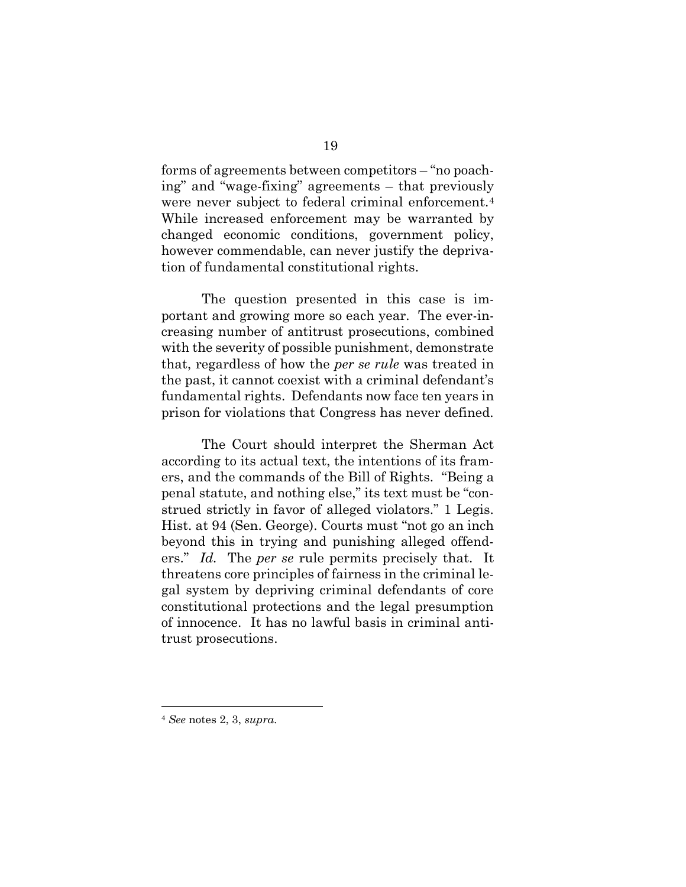forms of agreements between competitors – "no poaching" and "wage-fixing" agreements – that previously were never subject to federal criminal enforcement.<sup>4</sup> While increased enforcement may be warranted by changed economic conditions, government policy, however commendable, can never justify the deprivation of fundamental constitutional rights.

The question presented in this case is important and growing more so each year. The ever-increasing number of antitrust prosecutions, combined with the severity of possible punishment, demonstrate that, regardless of how the *per se rule* was treated in the past, it cannot coexist with a criminal defendant's fundamental rights. Defendants now face ten years in prison for violations that Congress has never defined.

The Court should interpret the Sherman Act according to its actual text, the intentions of its framers, and the commands of the Bill of Rights. "Being a penal statute, and nothing else," its text must be "construed strictly in favor of alleged violators." 1 Legis. Hist. at 94 (Sen. George). Courts must "not go an inch beyond this in trying and punishing alleged offenders." *Id.* The *per se* rule permits precisely that. It threatens core principles of fairness in the criminal legal system by depriving criminal defendants of core constitutional protections and the legal presumption of innocence. It has no lawful basis in criminal antitrust prosecutions.

<sup>4</sup> *See* notes 2, 3, *supra.*